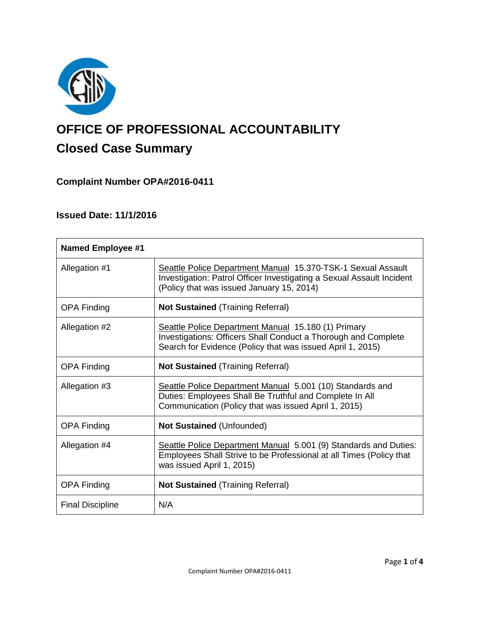

# **OFFICE OF PROFESSIONAL ACCOUNTABILITY Closed Case Summary**

# **Complaint Number OPA#2016-0411**

# **Issued Date: 11/1/2016**

| <b>Named Employee #1</b> |                                                                                                                                                                                     |
|--------------------------|-------------------------------------------------------------------------------------------------------------------------------------------------------------------------------------|
| Allegation #1            | Seattle Police Department Manual 15.370-TSK-1 Sexual Assault<br>Investigation: Patrol Officer Investigating a Sexual Assault Incident<br>(Policy that was issued January 15, 2014)  |
| <b>OPA Finding</b>       | <b>Not Sustained (Training Referral)</b>                                                                                                                                            |
| Allegation #2            | Seattle Police Department Manual 15.180 (1) Primary<br>Investigations: Officers Shall Conduct a Thorough and Complete<br>Search for Evidence (Policy that was issued April 1, 2015) |
| <b>OPA Finding</b>       | <b>Not Sustained (Training Referral)</b>                                                                                                                                            |
| Allegation #3            | Seattle Police Department Manual 5.001 (10) Standards and<br>Duties: Employees Shall Be Truthful and Complete In All<br>Communication (Policy that was issued April 1, 2015)        |
| <b>OPA Finding</b>       | <b>Not Sustained (Unfounded)</b>                                                                                                                                                    |
| Allegation #4            | Seattle Police Department Manual 5.001 (9) Standards and Duties:<br>Employees Shall Strive to be Professional at all Times (Policy that<br>was issued April 1, 2015)                |
| <b>OPA Finding</b>       | <b>Not Sustained (Training Referral)</b>                                                                                                                                            |
| <b>Final Discipline</b>  | N/A                                                                                                                                                                                 |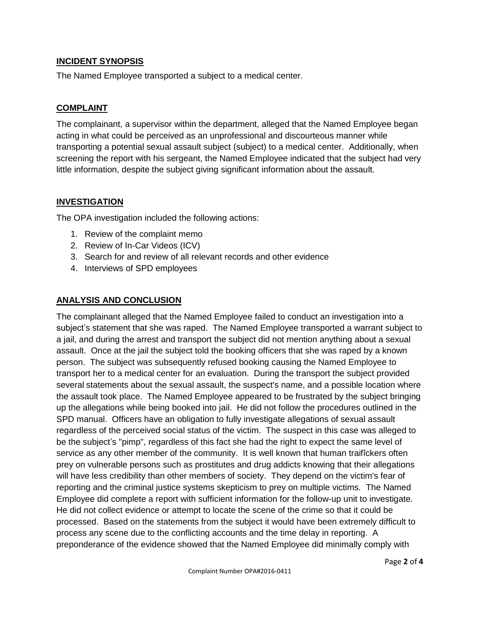## **INCIDENT SYNOPSIS**

The Named Employee transported a subject to a medical center.

## **COMPLAINT**

The complainant, a supervisor within the department, alleged that the Named Employee began acting in what could be perceived as an unprofessional and discourteous manner while transporting a potential sexual assault subject (subject) to a medical center. Additionally, when screening the report with his sergeant, the Named Employee indicated that the subject had very little information, despite the subject giving significant information about the assault.

## **INVESTIGATION**

The OPA investigation included the following actions:

- 1. Review of the complaint memo
- 2. Review of In-Car Videos (ICV)
- 3. Search for and review of all relevant records and other evidence
- 4. Interviews of SPD employees

## **ANALYSIS AND CONCLUSION**

The complainant alleged that the Named Employee failed to conduct an investigation into a subject's statement that she was raped. The Named Employee transported a warrant subject to a jail, and during the arrest and transport the subject did not mention anything about a sexual assault. Once at the jail the subject told the booking officers that she was raped by a known person. The subject was subsequently refused booking causing the Named Employee to transport her to a medical center for an evaluation. During the transport the subject provided several statements about the sexual assault, the suspect's name, and a possible location where the assault took place. The Named Employee appeared to be frustrated by the subject bringing up the allegations while being booked into jail. He did not follow the procedures outlined in the SPD manual. Officers have an obligation to fully investigate allegations of sexual assault regardless of the perceived social status of the victim. The suspect in this case was alleged to be the subject's "pimp", regardless of this fact she had the right to expect the same level of service as any other member of the community. It is well known that human traifîckers often prey on vulnerable persons such as prostitutes and drug addicts knowing that their allegations will have less credibility than other members of society. They depend on the victim's fear of reporting and the criminal justice systems skepticism to prey on multiple victims. The Named Employee did complete a report with sufficient information for the follow-up unit to investigate. He did not collect evidence or attempt to locate the scene of the crime so that it could be processed. Based on the statements from the subject it would have been extremely difficult to process any scene due to the conflicting accounts and the time delay in reporting. A preponderance of the evidence showed that the Named Employee did minimally comply with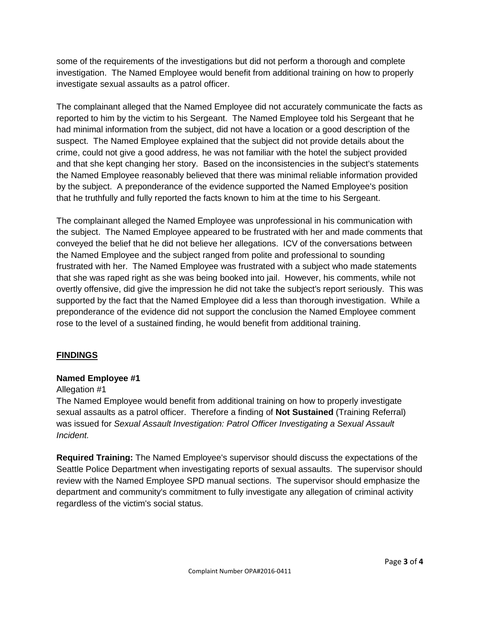some of the requirements of the investigations but did not perform a thorough and complete investigation. The Named Employee would benefit from additional training on how to properly investigate sexual assaults as a patrol officer.

The complainant alleged that the Named Employee did not accurately communicate the facts as reported to him by the victim to his Sergeant. The Named Employee told his Sergeant that he had minimal information from the subject, did not have a location or a good description of the suspect. The Named Employee explained that the subject did not provide details about the crime, could not give a good address, he was not familiar with the hotel the subject provided and that she kept changing her story. Based on the inconsistencies in the subject's statements the Named Employee reasonably believed that there was minimal reliable information provided by the subject. A preponderance of the evidence supported the Named Employee's position that he truthfully and fully reported the facts known to him at the time to his Sergeant.

The complainant alleged the Named Employee was unprofessional in his communication with the subject. The Named Employee appeared to be frustrated with her and made comments that conveyed the belief that he did not believe her allegations. ICV of the conversations between the Named Employee and the subject ranged from polite and professional to sounding frustrated with her. The Named Employee was frustrated with a subject who made statements that she was raped right as she was being booked into jail. However, his comments, while not overtly offensive, did give the impression he did not take the subject's report seriously. This was supported by the fact that the Named Employee did a less than thorough investigation. While a preponderance of the evidence did not support the conclusion the Named Employee comment rose to the level of a sustained finding, he would benefit from additional training.

## **FINDINGS**

### **Named Employee #1**

### Allegation #1

The Named Employee would benefit from additional training on how to properly investigate sexual assaults as a patrol officer. Therefore a finding of **Not Sustained** (Training Referral) was issued for *Sexual Assault Investigation: Patrol Officer Investigating a Sexual Assault Incident.*

**Required Training:** The Named Employee's supervisor should discuss the expectations of the Seattle Police Department when investigating reports of sexual assaults. The supervisor should review with the Named Employee SPD manual sections. The supervisor should emphasize the department and community's commitment to fully investigate any allegation of criminal activity regardless of the victim's social status.